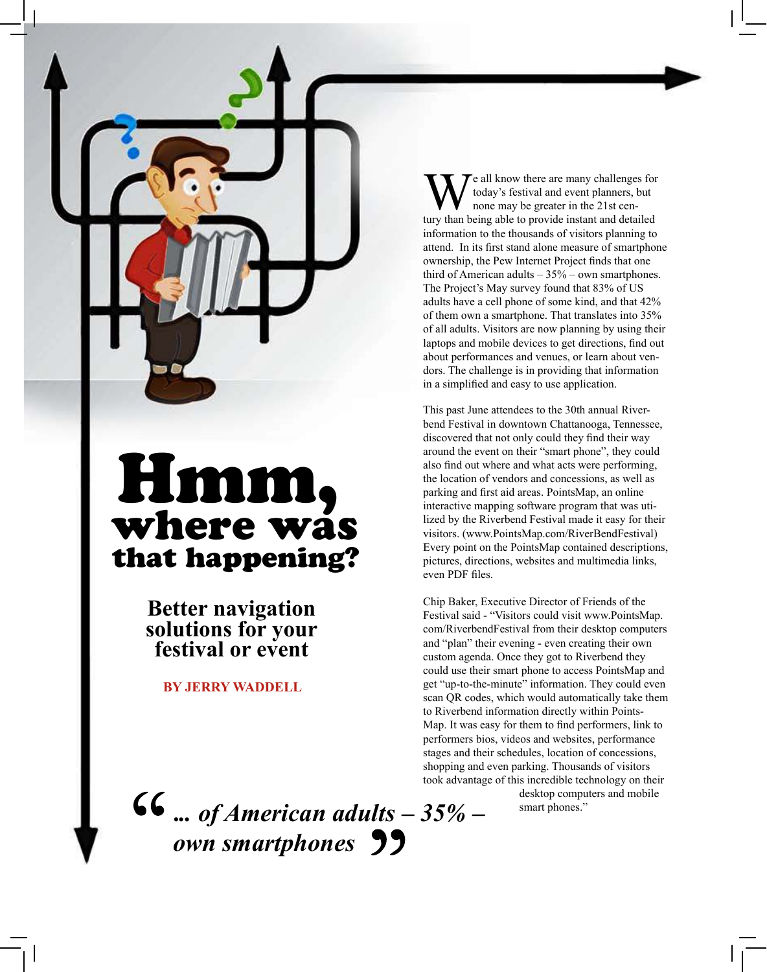

# Hmm, where was that happening?

**Better navigation solutions for your festival or event**

**BY JERRY WADDELL**

**.***.. of American adults – 35% – own smartphones*

W e all know there are many challenges for<br>tury than being able to provide instant and detailed e all know there are many challenges for today's festival and event planners, but none may be greater in the 21st ceninformation to the thousands of visitors planning to attend. In its first stand alone measure of smartphone ownership, the Pew Internet Project finds that one third of American adults  $-35%$  – own smartphones. The Project's May survey found that 83% of US adults have a cell phone of some kind, and that 42% of them own a smartphone. That translates into 35% of all adults. Visitors are now planning by using their laptops and mobile devices to get directions, find out about performances and venues, or learn about vendors. The challenge is in providing that information in a simplified and easy to use application.

This past June attendees to the 30th annual Riverbend Festival in downtown Chattanooga, Tennessee, discovered that not only could they find their way around the event on their "smart phone", they could also find out where and what acts were performing, the location of vendors and concessions, as well as parking and first aid areas. PointsMap, an online interactive mapping software program that was utilized by the Riverbend Festival made it easy for their visitors. (www.PointsMap.com/RiverBendFestival) Every point on the PointsMap contained descriptions, pictures, directions, websites and multimedia links, even PDF files.

Chip Baker, Executive Director of Friends of the Festival said - "Visitors could visit www.PointsMap. com/RiverbendFestival from their desktop computers and "plan" their evening - even creating their own custom agenda. Once they got to Riverbend they could use their smart phone to access PointsMap and get "up-to-the-minute" information. They could even scan QR codes, which would automatically take them to Riverbend information directly within Points-Map. It was easy for them to find performers, link to performers bios, videos and websites, performance stages and their schedules, location of concessions, shopping and even parking. Thousands of visitors took advantage of this incredible technology on their desktop computers and mobile

smart phones."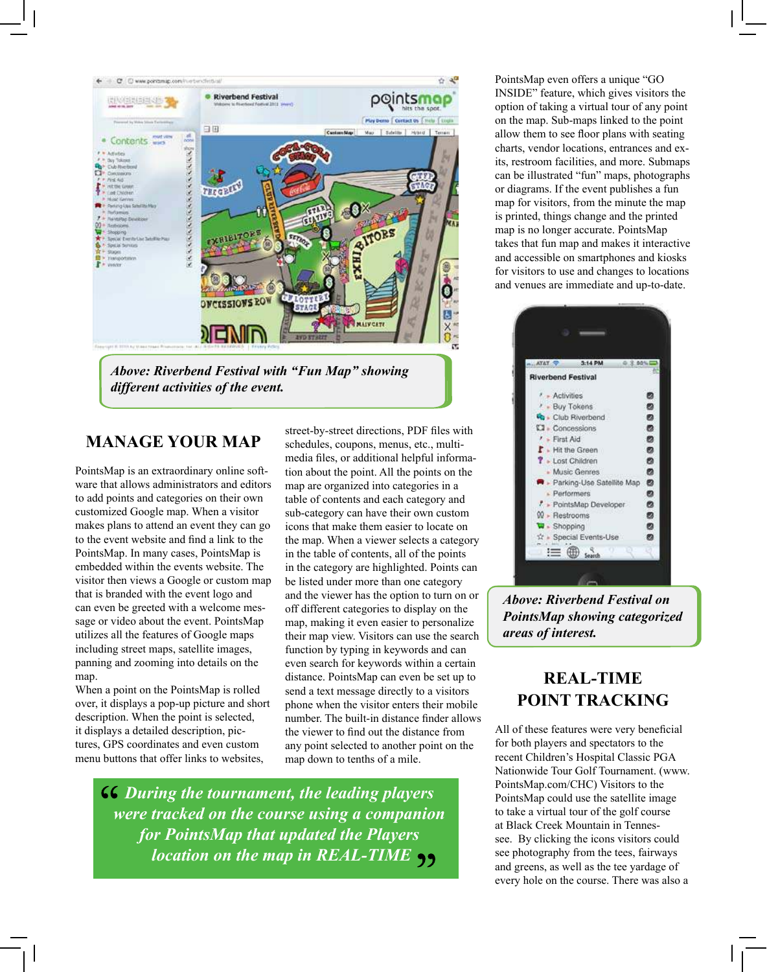

### **MANAGE YOUR MAP**

PointsMap is an extraordinary online software that allows administrators and editors to add points and categories on their own customized Google map. When a visitor makes plans to attend an event they can go to the event website and find a link to the PointsMap. In many cases, PointsMap is embedded within the events website. The visitor then views a Google or custom map that is branded with the event logo and can even be greeted with a welcome message or video about the event. PointsMap utilizes all the features of Google maps including street maps, satellite images, panning and zooming into details on the map.

When a point on the PointsMap is rolled over, it displays a pop-up picture and short description. When the point is selected, it displays a detailed description, pictures, GPS coordinates and even custom menu buttons that offer links to websites,

street-by-street directions, PDF files with schedules, coupons, menus, etc., multimedia files, or additional helpful information about the point. All the points on the map are organized into categories in a table of contents and each category and sub-category can have their own custom icons that make them easier to locate on the map. When a viewer selects a category in the table of contents, all of the points in the category are highlighted. Points can be listed under more than one category and the viewer has the option to turn on or off different categories to display on the map, making it even easier to personalize their map view. Visitors can use the search function by typing in keywords and can even search for keywords within a certain distance. PointsMap can even be set up to send a text message directly to a visitors phone when the visitor enters their mobile number. The built-in distance finder allows the viewer to find out the distance from any point selected to another point on the map down to tenths of a mile.

*During the tournament, the leading players were tracked on the course using a companion for PointsMap that updated the Players location on the map in REAL-TIME*

PointsMap even offers a unique "GO INSIDE" feature, which gives visitors the option of taking a virtual tour of any point on the map. Sub-maps linked to the point allow them to see floor plans with seating charts, vendor locations, entrances and exits, restroom facilities, and more. Submaps can be illustrated "fun" maps, photographs or diagrams. If the event publishes a fun map for visitors, from the minute the map is printed, things change and the printed map is no longer accurate. PointsMap takes that fun map and makes it interactive and accessible on smartphones and kiosks for visitors to use and changes to locations and venues are immediate and up-to-date.



*Above: Riverbend Festival on PointsMap showing categorized areas of interest.*

## **REAL-TIME POINT TRACKING**

All of these features were very beneficial for both players and spectators to the recent Children's Hospital Classic PGA Nationwide Tour Golf Tournament. (www. PointsMap.com/CHC) Visitors to the PointsMap could use the satellite image to take a virtual tour of the golf course at Black Creek Mountain in Tennessee. By clicking the icons visitors could see photography from the tees, fairways and greens, as well as the tee yardage of every hole on the course. There was also a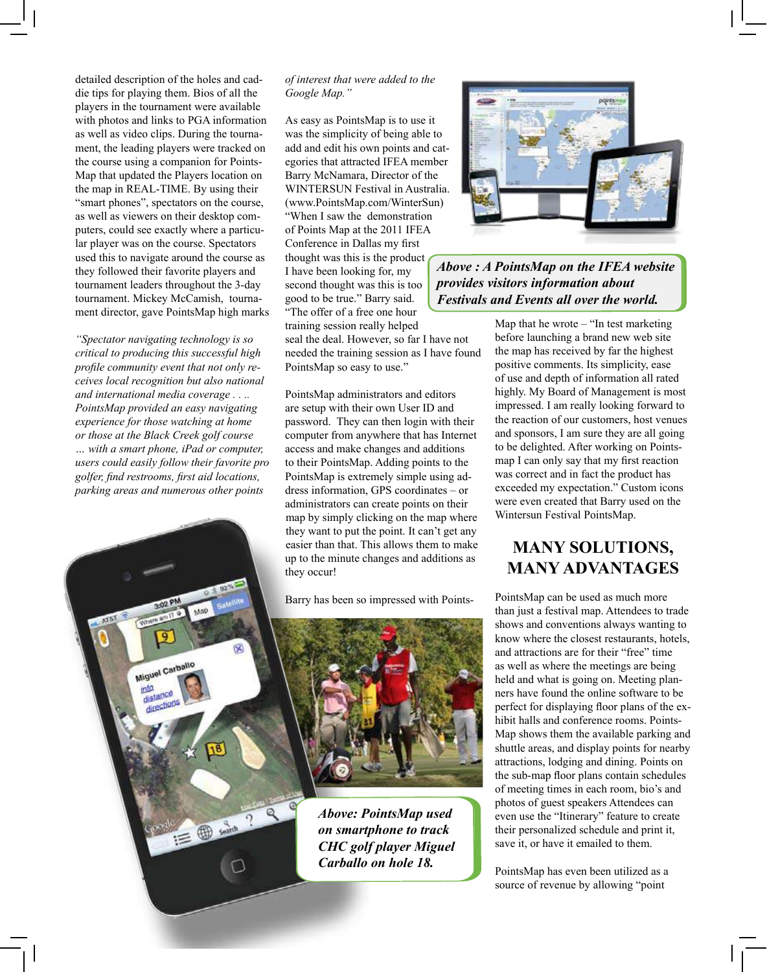detailed description of the holes and caddie tips for playing them. Bios of all the players in the tournament were available with photos and links to PGA information as well as video clips. During the tournament, the leading players were tracked on the course using a companion for Points-Map that updated the Players location on the map in REAL-TIME. By using their "smart phones", spectators on the course, as well as viewers on their desktop computers, could see exactly where a particular player was on the course. Spectators used this to navigate around the course as they followed their favorite players and tournament leaders throughout the 3-day tournament. Mickey McCamish, tournament director, gave PointsMap high marks

*"Spectator navigating technology is so critical to producing this successful high profile community event that not only receives local recognition but also national and international media coverage . . .. PointsMap provided an easy navigating experience for those watching at home or those at the Black Creek golf course … with a smart phone, iPad or computer, users could easily follow their favorite pro golfer, find restrooms, first aid locations, parking areas and numerous other points* 

Map

 $\equiv \bigoplus_{n=0}^{\infty} \frac{1}{n!n}$ 

Miguel Carballo

into distance directions

#### *of interest that were added to the Google Map."*

As easy as PointsMap is to use it was the simplicity of being able to add and edit his own points and categories that attracted IFEA member Barry McNamara, Director of the WINTERSUN Festival in Australia. (www.PointsMap.com/WinterSun) "When I saw the demonstration of Points Map at the 2011 IFEA Conference in Dallas my first thought was this is the product I have been looking for, my second thought was this is too good to be true." Barry said. "The offer of a free one hour

training session really helped seal the deal. However, so far I have not needed the training session as I have found PointsMap so easy to use."

PointsMap administrators and editors are setup with their own User ID and password. They can then login with their computer from anywhere that has Internet access and make changes and additions to their PointsMap. Adding points to the PointsMap is extremely simple using address information, GPS coordinates – or administrators can create points on their map by simply clicking on the map where they want to put the point. It can't get any easier than that. This allows them to make up to the minute changes and additions as they occur!

Barry has been so impressed with Points-



*Above: PointsMap used on smartphone to track CHC golf player Miguel Carballo on hole 18.*



*Above : A PointsMap on the IFEA website provides visitors information about Festivals and Events all over the world.*

> Map that he wrote – "In test marketing before launching a brand new web site the map has received by far the highest positive comments. Its simplicity, ease of use and depth of information all rated highly. My Board of Management is most impressed. I am really looking forward to the reaction of our customers, host venues and sponsors, I am sure they are all going to be delighted. After working on Pointsmap I can only say that my first reaction was correct and in fact the product has exceeded my expectation." Custom icons were even created that Barry used on the Wintersun Festival PointsMap.

#### **MANY SOLUTIONS, MANY ADVANTAGES**

PointsMap can be used as much more than just a festival map. Attendees to trade shows and conventions always wanting to know where the closest restaurants, hotels, and attractions are for their "free" time as well as where the meetings are being held and what is going on. Meeting planners have found the online software to be perfect for displaying floor plans of the exhibit halls and conference rooms. Points-Map shows them the available parking and shuttle areas, and display points for nearby attractions, lodging and dining. Points on the sub-map floor plans contain schedules of meeting times in each room, bio's and photos of guest speakers Attendees can even use the "Itinerary" feature to create their personalized schedule and print it, save it, or have it emailed to them.

PointsMap has even been utilized as a source of revenue by allowing "point